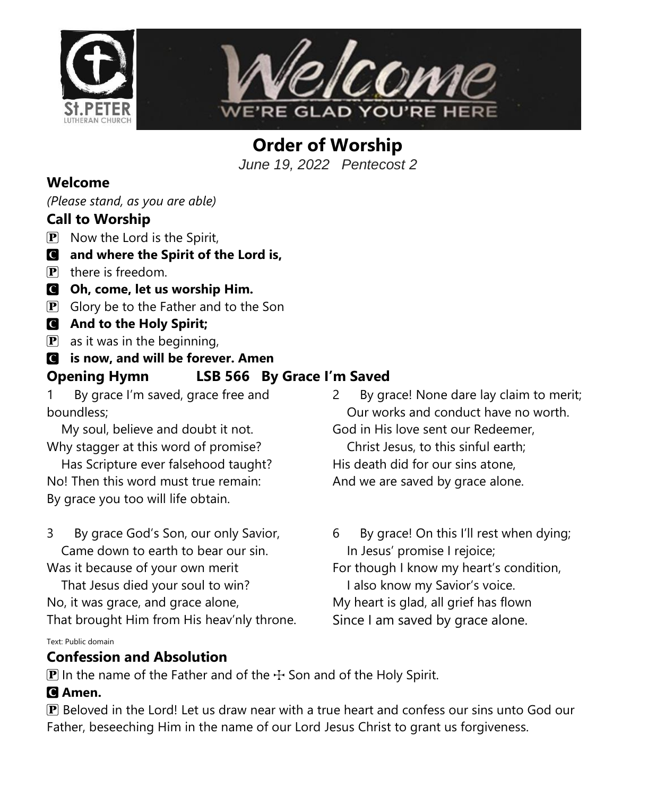



**Order of Worship** *June 19, 2022 Pentecost 2*

#### **Welcome**

*(Please stand, as you are able)*

### **Call to Worship**

- $\mathbf{P}$  Now the Lord is the Spirit,
- C **and where the Spirit of the Lord is,**
- $\mathbf{P}$  there is freedom.
- C **Oh, come, let us worship Him.**
- $\mathbf{P}$  Glory be to the Father and to the Son
- C **And to the Holy Spirit;**
- $\mathbf{P}$  as it was in the beginning,

## C **is now, and will be forever. Amen**

## **Opening Hymn LSB 566 By Grace I'm Saved**

1 By grace I'm saved, grace free and boundless;

 My soul, believe and doubt it not. Why stagger at this word of promise?

 Has Scripture ever falsehood taught? No! Then this word must true remain: By grace you too will life obtain.

3 By grace God's Son, our only Savior, Came down to earth to bear our sin.

Was it because of your own merit That Jesus died your soul to win? No, it was grace, and grace alone, That brought Him from His heav'nly throne.

Text: Public domain

#### **Confession and Absolution**

2 By grace! None dare lay claim to merit; Our works and conduct have no worth. God in His love sent our Redeemer, Christ Jesus, to this sinful earth; His death did for our sins atone, And we are saved by grace alone.

6 By grace! On this I'll rest when dying; In Jesus' promise I rejoice; For though I know my heart's condition, I also know my Savior's voice. My heart is glad, all grief has flown Since I am saved by grace alone.

 $\mathbf{P}$  In the name of the Father and of the  $\div$  Son and of the Holy Spirit.

#### C **Amen.**

P Beloved in the Lord! Let us draw near with a true heart and confess our sins unto God our Father, beseeching Him in the name of our Lord Jesus Christ to grant us forgiveness.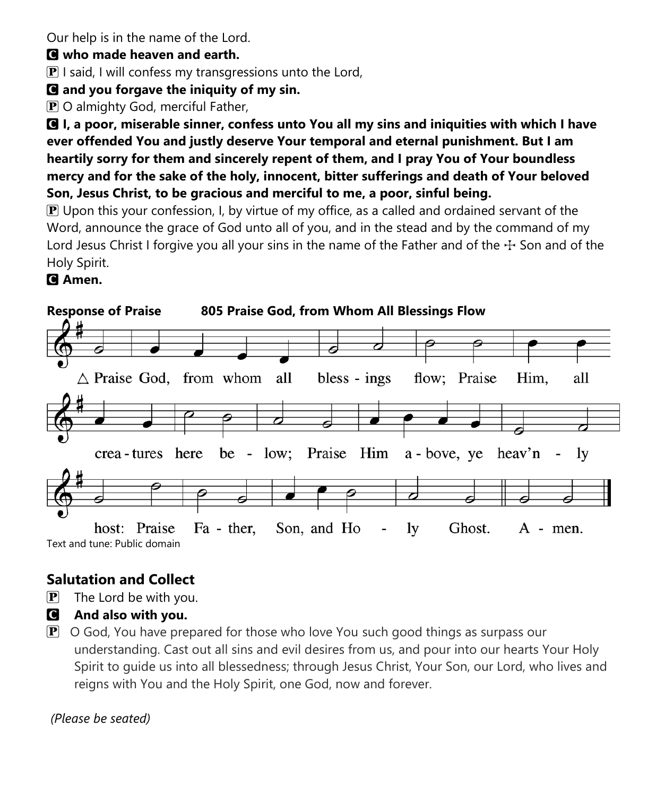Our help is in the name of the Lord.

#### C **who made heaven and earth.**

 $\bf{P}$  I said, I will confess my transgressions unto the Lord,

## C **and you forgave the iniquity of my sin.**

P O almighty God, merciful Father,

C **I, a poor, miserable sinner, confess unto You all my sins and iniquities with which I have ever offended You and justly deserve Your temporal and eternal punishment. But I am heartily sorry for them and sincerely repent of them, and I pray You of Your boundless mercy and for the sake of the holy, innocent, bitter sufferings and death of Your beloved Son, Jesus Christ, to be gracious and merciful to me, a poor, sinful being.**

 $\mathbb P$  Upon this your confession, I, by virtue of my office, as a called and ordained servant of the Word, announce the grace of God unto all of you, and in the stead and by the command of my Lord Jesus Christ I forgive you all your sins in the name of the Father and of the  $\pm$  Son and of the Holy Spirit.

## C **Amen.**



# **Salutation and Collect**

- $\left| \mathbf{P} \right|$  The Lord be with you.
- C **And also with you.**
- $\mathbf{P}$  O God, You have prepared for those who love You such good things as surpass our understanding. Cast out all sins and evil desires from us, and pour into our hearts Your Holy Spirit to guide us into all blessedness; through Jesus Christ, Your Son, our Lord, who lives and reigns with You and the Holy Spirit, one God, now and forever.

## *(Please be seated)*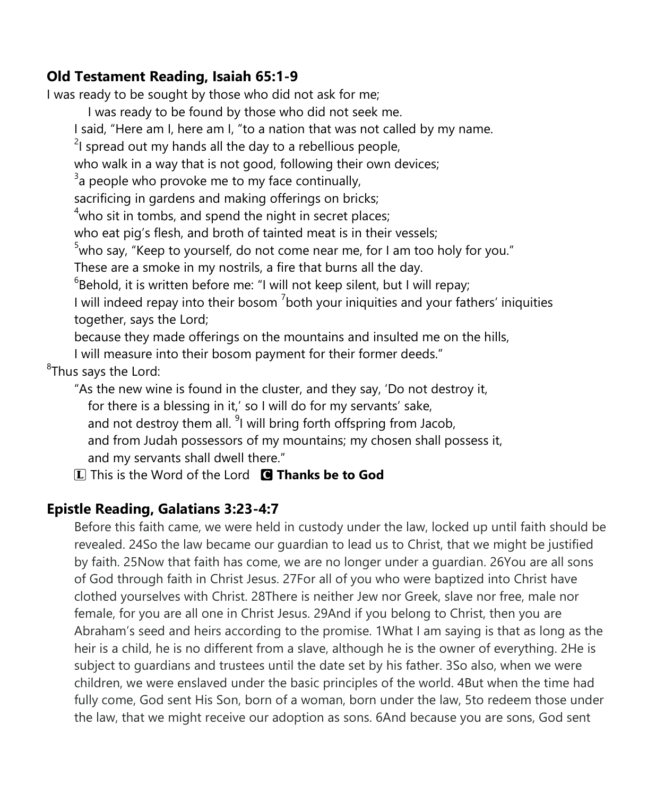#### **Old Testament Reading, Isaiah 65:1-9**

I was ready to be sought by those who did not ask for me;

I was ready to be found by those who did not seek me.

I said, "Here am I, here am I, "to a nation that was not called by my name.

 $2$ I spread out my hands all the day to a rebellious people,

who walk in a way that is not good, following their own devices;

 $3$ a people who provoke me to my face continually,

sacrificing in gardens and making offerings on bricks;

 $4$ who sit in tombs, and spend the night in secret places;

who eat pig's flesh, and broth of tainted meat is in their vessels;

 $5$ who say, "Keep to yourself, do not come near me, for I am too holy for you."

These are a smoke in my nostrils, a fire that burns all the day.

 ${}^{6}$ Behold, it is written before me: "I will not keep silent, but I will repay;

I will indeed repay into their bosom  $<sup>7</sup>$ both your iniquities and your fathers' iniquities</sup> together, says the Lord;

because they made offerings on the mountains and insulted me on the hills,

I will measure into their bosom payment for their former deeds."

<sup>8</sup>Thus says the Lord:

"As the new wine is found in the cluster, and they say, 'Do not destroy it, for there is a blessing in it,' so I will do for my servants' sake, and not destroy them all. <sup>9</sup>I will bring forth offspring from Jacob, and from Judah possessors of my mountains; my chosen shall possess it, and my servants shall dwell there."

L This is the Word of the Lord C **Thanks be to God**

## **Epistle Reading, Galatians 3:23-4:7**

Before this faith came, we were held in custody under the law, locked up until faith should be revealed. 24So the law became our guardian to lead us to Christ, that we might be justified by faith. 25Now that faith has come, we are no longer under a guardian. 26You are all sons of God through faith in Christ Jesus. 27For all of you who were baptized into Christ have clothed yourselves with Christ. 28There is neither Jew nor Greek, slave nor free, male nor female, for you are all one in Christ Jesus. 29And if you belong to Christ, then you are Abraham's seed and heirs according to the promise. 1What I am saying is that as long as the heir is a child, he is no different from a slave, although he is the owner of everything. 2He is subject to guardians and trustees until the date set by his father. 3So also, when we were children, we were enslaved under the basic principles of the world. 4But when the time had fully come, God sent His Son, born of a woman, born under the law, 5to redeem those under the law, that we might receive our adoption as sons. 6And because you are sons, God sent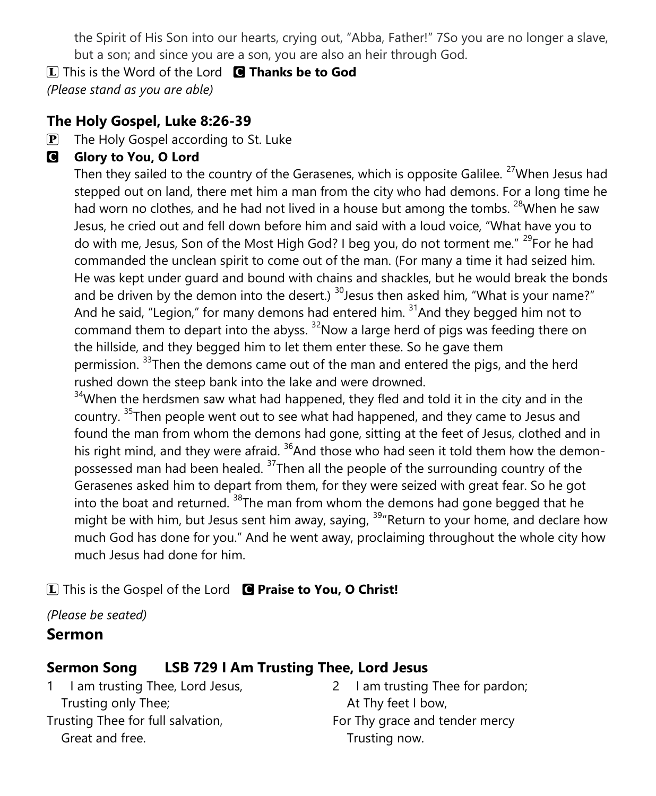the Spirit of His Son into our hearts, crying out, "Abba, Father!" 7So you are no longer a slave, but a son; and since you are a son, you are also an heir through God.

L This is the Word of the Lord C **Thanks be to God**

*(Please stand as you are able)*

## **The Holy Gospel, Luke 8:26-39**

**P** The Holy Gospel according to St. Luke

## **G** Glory to You, O Lord

Then they sailed to the country of the Gerasenes, which is opposite Galilee. <sup>27</sup>When Jesus had stepped out on land, there met him a man from the city who had demons. For a long time he had worn no clothes, and he had not lived in a house but among the tombs. <sup>28</sup>When he saw Jesus, he cried out and fell down before him and said with a loud voice, "What have you to do with me, Jesus, Son of the Most High God? I beg you, do not torment me." <sup>29</sup>For he had commanded the unclean spirit to come out of the man. (For many a time it had seized him. He was kept under guard and bound with chains and shackles, but he would break the bonds and be driven by the demon into the desert.)  $30$  esus then asked him, "What is your name?" And he said, "Legion," for many demons had entered him.  $31$ And they begged him not to command them to depart into the abyss.  $32$ Now a large herd of pigs was feeding there on the hillside, and they begged him to let them enter these. So he gave them permission. <sup>33</sup>Then the demons came out of the man and entered the pigs, and the herd rushed down the steep bank into the lake and were drowned.

 $34$ When the herdsmen saw what had happened, they fled and told it in the city and in the country. <sup>35</sup>Then people went out to see what had happened, and they came to Jesus and found the man from whom the demons had gone, sitting at the feet of Jesus, clothed and in his right mind, and they were afraid.  $36$ And those who had seen it told them how the demonpossessed man had been healed. <sup>37</sup>Then all the people of the surrounding country of the Gerasenes asked him to depart from them, for they were seized with great fear. So he got into the boat and returned.  $38$ The man from whom the demons had gone begged that he might be with him, but Jesus sent him away, saying, <sup>39</sup> Return to your home, and declare how much God has done for you." And he went away, proclaiming throughout the whole city how much Jesus had done for him.

L This is the Gospel of the Lord C **Praise to You, O Christ!**

*(Please be seated)*

## **Sermon**

# **Sermon Song LSB 729 I Am Trusting Thee, Lord Jesus**

1 I am trusting Thee, Lord Jesus, Trusting only Thee; Trusting Thee for full salvation, Great and free.

2 I am trusting Thee for pardon; At Thy feet I bow, For Thy grace and tender mercy Trusting now.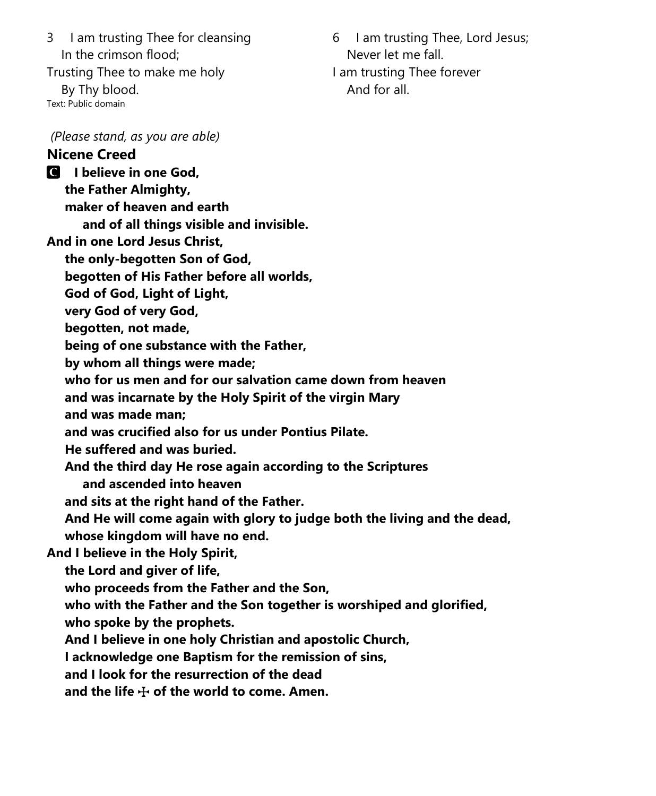3 I am trusting Thee for cleansing In the crimson flood;

Trusting Thee to make me holy By Thy blood. Text: Public domain

6 I am trusting Thee, Lord Jesus; Never let me fall. I am trusting Thee forever And for all.

#### *(Please stand, as you are able)*

#### **Nicene Creed** C **I believe in one God,**

 **the Father Almighty, maker of heaven and earth**

 **and of all things visible and invisible.**

**And in one Lord Jesus Christ,**

 **the only-begotten Son of God,**

 **begotten of His Father before all worlds,**

 **God of God, Light of Light,**

 **very God of very God,**

 **begotten, not made,**

 **being of one substance with the Father,**

 **by whom all things were made;**

 **who for us men and for our salvation came down from heaven**

 **and was incarnate by the Holy Spirit of the virgin Mary**

 **and was made man;**

 **and was crucified also for us under Pontius Pilate.**

 **He suffered and was buried.**

 **And the third day He rose again according to the Scriptures**

 **and ascended into heaven**

 **and sits at the right hand of the Father.**

 **And He will come again with glory to judge both the living and the dead, whose kingdom will have no end.**

**And I believe in the Holy Spirit,**

 **the Lord and giver of life,**

 **who proceeds from the Father and the Son,**

 **who with the Father and the Son together is worshiped and glorified,**

 **who spoke by the prophets.**

 **And I believe in one holy Christian and apostolic Church,**

 **I acknowledge one Baptism for the remission of sins,**

 **and I look for the resurrection of the dead**

 **and the life** T **of the world to come. Amen.**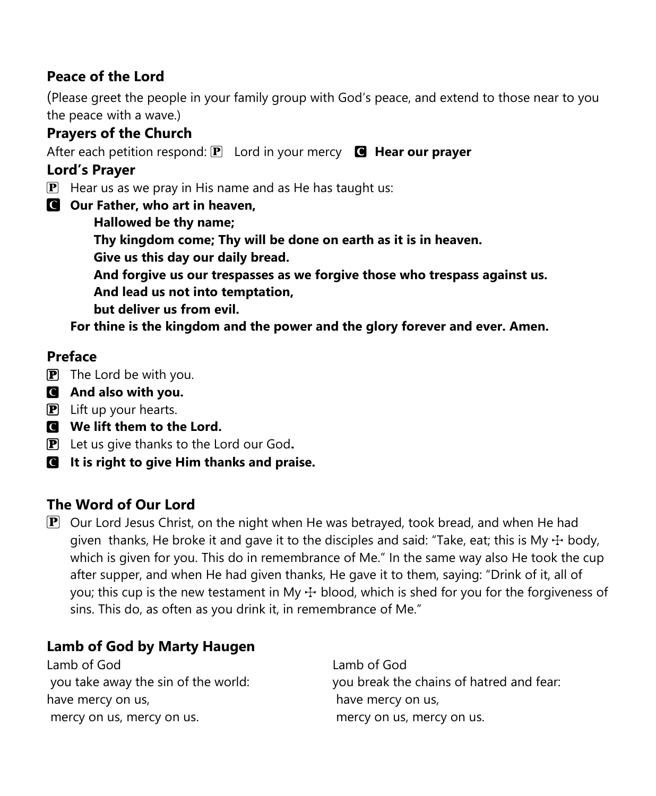## **Peace of the Lord**

(Please greet the people in your family group with God's peace, and extend to those near to you the peace with a wave.)

### **Prayers of the Church**

After each petition respond: **P** Lord in your mercy **C** Hear our prayer

#### **Lord's Prayer**

- $\overline{P}$  Hear us as we pray in His name and as He has taught us:
- C **Our Father, who art in heaven,**
	- **Hallowed be thy name;**
	- **Thy kingdom come; Thy will be done on earth as it is in heaven.**
	- **Give us this day our daily bread.**
	- **And forgive us our trespasses as we forgive those who trespass against us.**
	- **And lead us not into temptation,**
	- **but deliver us from evil.**

**For thine is the kingdom and the power and the glory forever and ever. Amen.**

### **Preface**

- **P** The Lord be with you.
- C **And also with you.**
- $\mathbf{P}$  Lift up your hearts.
- C **We lift them to the Lord.**
- P Let us give thanks to the Lord our God**.**
- C **It is right to give Him thanks and praise.**

## **The Word of Our Lord**

 $\mathbf{P}$  Our Lord Jesus Christ, on the night when He was betrayed, took bread, and when He had given thanks, He broke it and gave it to the disciples and said: "Take, eat; this is My  $\pm$  body, which is given for you. This do in remembrance of Me." In the same way also He took the cup after supper, and when He had given thanks, He gave it to them, saying: "Drink of it, all of you; this cup is the new testament in My  $\pm$  blood, which is shed for you for the forgiveness of sins. This do, as often as you drink it, in remembrance of Me."

## **Lamb of God by Marty Haugen**

Lamb of God you take away the sin of the world: have mercy on us, mercy on us, mercy on us.

Lamb of God you break the chains of hatred and fear: have mercy on us, mercy on us, mercy on us.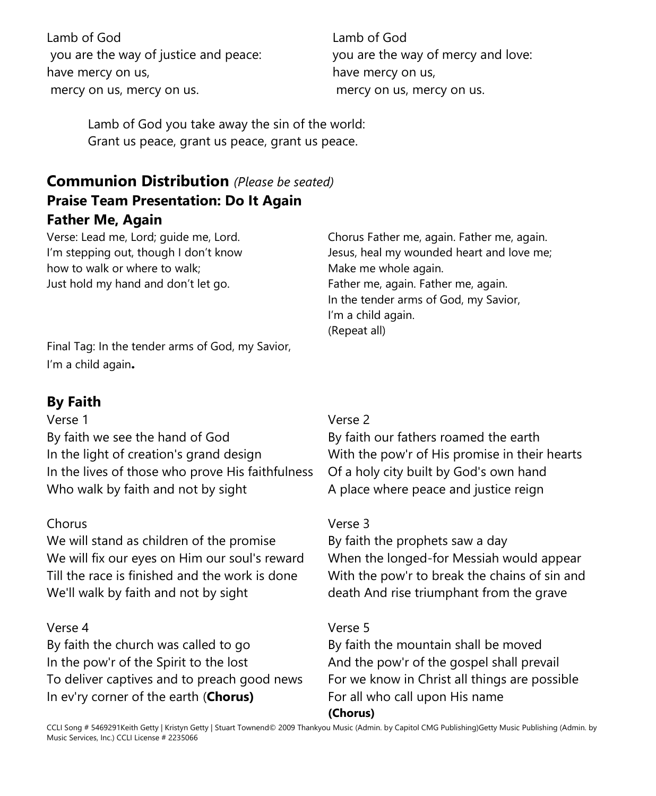Lamb of God you are the way of justice and peace: have mercy on us, mercy on us, mercy on us.

Lamb of God you are the way of mercy and love: have mercy on us, mercy on us, mercy on us.

Lamb of God you take away the sin of the world: Grant us peace, grant us peace, grant us peace.

## **Communion Distribution** *(Please be seated)* **Praise Team Presentation: Do It Again Father Me, Again**

Verse: Lead me, Lord; guide me, Lord. I'm stepping out, though I don't know how to walk or where to walk; Just hold my hand and don't let go.

Chorus Father me, again. Father me, again. Jesus, heal my wounded heart and love me; Make me whole again. Father me, again. Father me, again. In the tender arms of God, my Savior, I'm a child again. (Repeat all)

Final Tag: In the tender arms of God, my Savior, I'm a child again**.**

#### **By Faith**

#### Verse 1

By faith we see the hand of God In the light of creation's grand design In the lives of those who prove His faithfulness Who walk by faith and not by sight

#### Chorus

We will stand as children of the promise We will fix our eyes on Him our soul's reward Till the race is finished and the work is done We'll walk by faith and not by sight

#### Verse 4

By faith the church was called to go In the pow'r of the Spirit to the lost To deliver captives and to preach good news In ev'ry corner of the earth (**Chorus)**

#### Verse 2

By faith our fathers roamed the earth With the pow'r of His promise in their hearts Of a holy city built by God's own hand A place where peace and justice reign

#### Verse 3

By faith the prophets saw a day When the longed-for Messiah would appear With the pow'r to break the chains of sin and death And rise triumphant from the grave

#### Verse 5

By faith the mountain shall be moved And the pow'r of the gospel shall prevail For we know in Christ all things are possible For all who call upon His name **(Chorus)**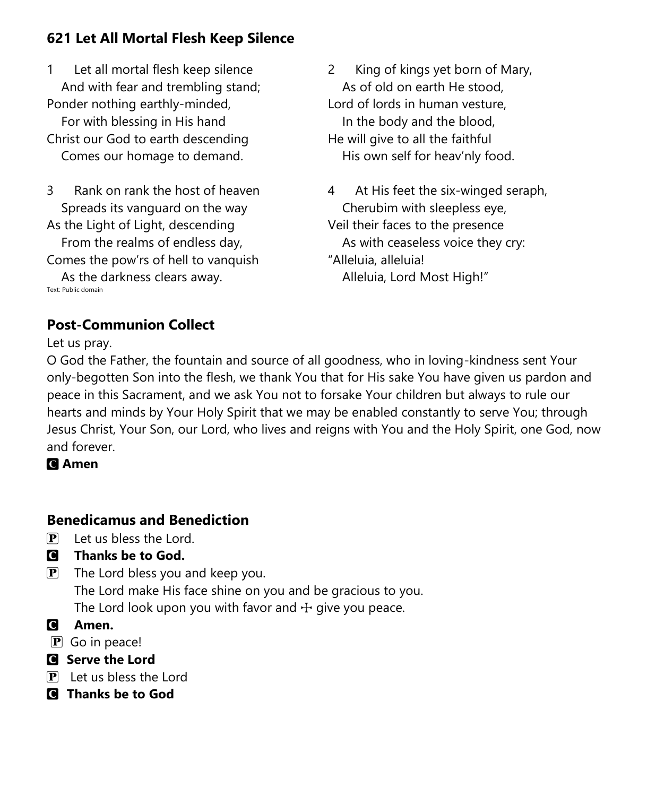## **621 Let All Mortal Flesh Keep Silence**

1 Let all mortal flesh keep silence And with fear and trembling stand; Ponder nothing earthly-minded, For with blessing in His hand

Christ our God to earth descending Comes our homage to demand.

3 Rank on rank the host of heaven Spreads its vanguard on the way As the Light of Light, descending

 From the realms of endless day, Comes the pow'rs of hell to vanquish

 As the darkness clears away. Text: Public domain

2 King of kings yet born of Mary, As of old on earth He stood, Lord of lords in human vesture, In the body and the blood, He will give to all the faithful His own self for heav'nly food.

4 At His feet the six-winged seraph, Cherubim with sleepless eye, Veil their faces to the presence As with ceaseless voice they cry: "Alleluia, alleluia! Alleluia, Lord Most High!"

## **Post-Communion Collect**

Let us pray.

O God the Father, the fountain and source of all goodness, who in loving-kindness sent Your only-begotten Son into the flesh, we thank You that for His sake You have given us pardon and peace in this Sacrament, and we ask You not to forsake Your children but always to rule our hearts and minds by Your Holy Spirit that we may be enabled constantly to serve You; through Jesus Christ, Your Son, our Lord, who lives and reigns with You and the Holy Spirit, one God, now and forever.

C **Amen**

## **Benedicamus and Benediction**

- $\left| \mathbf{P} \right|$  Let us bless the Lord.
- C **Thanks be to God.**
- $\mathbf{P}$  The Lord bless you and keep you. The Lord make His face shine on you and be gracious to you.

The Lord look upon you with favor and  $\pm$  give you peace.

- C **Amen.**
- P Go in peace!
- C **Serve the Lord**
- $\left| \mathbf{P} \right|$  Let us bless the Lord
- C **Thanks be to God**